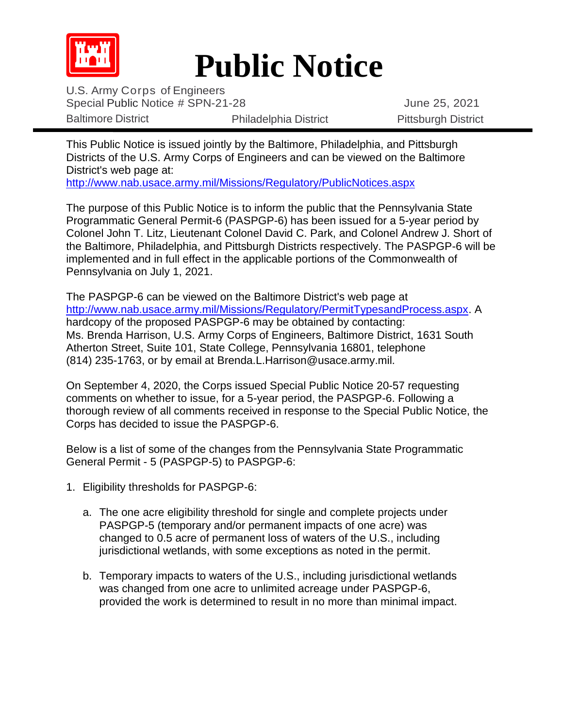

## **Public Notice**

U.S. Army Corps of Engineers Special Public Notice # SPN-21-28 June 25, 2021 Baltimore District **Philadelphia District** Philadelphia District Pittsburgh District

This Public Notice is issued jointly by the Baltimore, Philadelphia, and Pittsburgh Districts of the U.S. Army Corps of Engineers and can be viewed on the Baltimore District's web page at:

<http://www.nab.usace.army.mil/Missions/Regulatory/PublicNotices.aspx>

The purpose of this Public Notice is to inform the public that the Pennsylvania State Programmatic General Permit-6 (PASPGP-6) has been issued for a 5-year period by Colonel John T. Litz, Lieutenant Colonel David C. Park, and Colonel Andrew J. Short of the Baltimore, Philadelphia, and Pittsburgh Districts respectively. The PASPGP-6 will be implemented and in full effect in the applicable portions of the Commonwealth of Pennsylvania on July 1, 2021.

The PASPGP-6 can be viewed on the Baltimore District's web page at [http://www.nab.usace.army.mil/Missions/Regulatory/PermitTypesandProcess.aspx.](http://www.nab.usace.army.mil/Missions/Regulatory/PermitTypesandProcess.aspx) A hardcopy of the proposed PASPGP-6 may be obtained by contacting: Ms. Brenda Harrison, U.S. Army Corps of Engineers, Baltimore District, 1631 South Atherton Street, Suite 101, State College, Pennsylvania 16801, telephone (814) 235-1763, or by email at Brenda.L.Harrison@usace.army.mil.

On September 4, 2020, the Corps issued Special Public Notice 20-57 requesting comments on whether to issue, for a 5-year period, the PASPGP-6. Following a thorough review of all comments received in response to the Special Public Notice, the Corps has decided to issue the PASPGP-6.

Below is a list of some of the changes from the Pennsylvania State Programmatic General Permit - 5 (PASPGP-5) to PASPGP-6:

- 1. Eligibility thresholds for PASPGP-6:
	- a. The one acre eligibility threshold for single and complete projects under PASPGP-5 (temporary and/or permanent impacts of one acre) was changed to 0.5 acre of permanent loss of waters of the U.S., including jurisdictional wetlands, with some exceptions as noted in the permit.
	- b. Temporary impacts to waters of the U.S., including jurisdictional wetlands was changed from one acre to unlimited acreage under PASPGP-6, provided the work is determined to result in no more than minimal impact.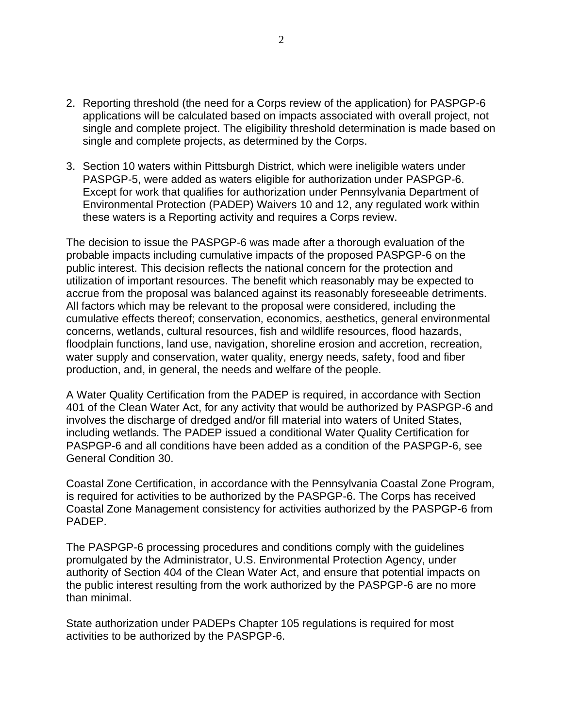- 2. Reporting threshold (the need for a Corps review of the application) for PASPGP-6 applications will be calculated based on impacts associated with overall project, not single and complete project. The eligibility threshold determination is made based on single and complete projects, as determined by the Corps.
- 3. Section 10 waters within Pittsburgh District, which were ineligible waters under PASPGP-5, were added as waters eligible for authorization under PASPGP-6. Except for work that qualifies for authorization under Pennsylvania Department of Environmental Protection (PADEP) Waivers 10 and 12, any regulated work within these waters is a Reporting activity and requires a Corps review.

The decision to issue the PASPGP-6 was made after a thorough evaluation of the probable impacts including cumulative impacts of the proposed PASPGP-6 on the public interest. This decision reflects the national concern for the protection and utilization of important resources. The benefit which reasonably may be expected to accrue from the proposal was balanced against its reasonably foreseeable detriments. All factors which may be relevant to the proposal were considered, including the cumulative effects thereof; conservation, economics, aesthetics, general environmental concerns, wetlands, cultural resources, fish and wildlife resources, flood hazards, floodplain functions, land use, navigation, shoreline erosion and accretion, recreation, water supply and conservation, water quality, energy needs, safety, food and fiber production, and, in general, the needs and welfare of the people.

A Water Quality Certification from the PADEP is required, in accordance with Section 401 of the Clean Water Act, for any activity that would be authorized by PASPGP-6 and involves the discharge of dredged and/or fill material into waters of United States, including wetlands. The PADEP issued a conditional Water Quality Certification for PASPGP-6 and all conditions have been added as a condition of the PASPGP-6, see General Condition 30.

Coastal Zone Certification, in accordance with the Pennsylvania Coastal Zone Program, is required for activities to be authorized by the PASPGP-6. The Corps has received Coastal Zone Management consistency for activities authorized by the PASPGP-6 from PADEP.

The PASPGP-6 processing procedures and conditions comply with the guidelines promulgated by the Administrator, U.S. Environmental Protection Agency, under authority of Section 404 of the Clean Water Act, and ensure that potential impacts on the public interest resulting from the work authorized by the PASPGP-6 are no more than minimal.

State authorization under PADEPs Chapter 105 regulations is required for most activities to be authorized by the PASPGP-6.